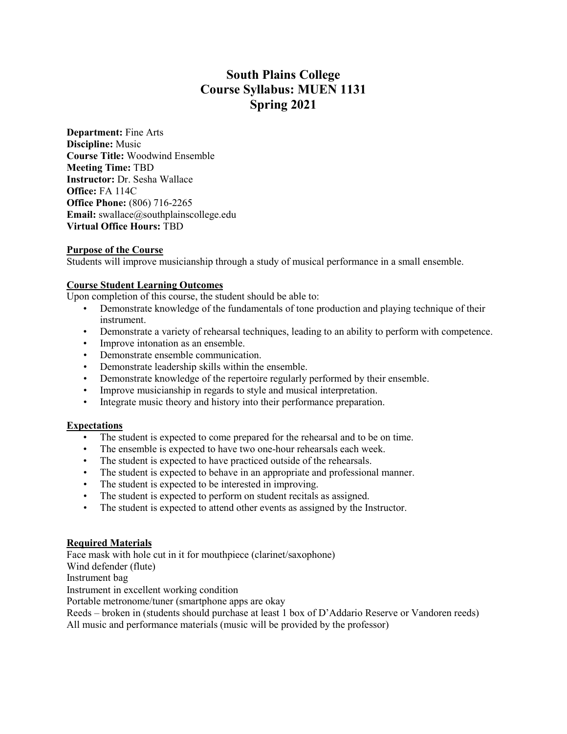# **South Plains College Course Syllabus: MUEN 1131 Spring 2021**

**Department:** Fine Arts **Discipline:** Music **Course Title:** Woodwind Ensemble **Meeting Time:** TBD **Instructor:** Dr. Sesha Wallace **Office:** FA 114C **Office Phone:** (806) 716-2265 **Email:** swallace@southplainscollege.edu **Virtual Office Hours:** TBD

### **Purpose of the Course**

Students will improve musicianship through a study of musical performance in a small ensemble.

### **Course Student Learning Outcomes**

Upon completion of this course, the student should be able to:

- Demonstrate knowledge of the fundamentals of tone production and playing technique of their instrument.
- Demonstrate a variety of rehearsal techniques, leading to an ability to perform with competence.
- Improve intonation as an ensemble.
- Demonstrate ensemble communication.
- Demonstrate leadership skills within the ensemble.
- Demonstrate knowledge of the repertoire regularly performed by their ensemble.
- Improve musicianship in regards to style and musical interpretation.
- Integrate music theory and history into their performance preparation.

### **Expectations**

- The student is expected to come prepared for the rehearsal and to be on time.
- The ensemble is expected to have two one-hour rehearsals each week.
- The student is expected to have practiced outside of the rehearsals.
- The student is expected to behave in an appropriate and professional manner.
- The student is expected to be interested in improving.
- The student is expected to perform on student recitals as assigned.
- The student is expected to attend other events as assigned by the Instructor.

### **Required Materials**

Face mask with hole cut in it for mouthpiece (clarinet/saxophone) Wind defender (flute) Instrument bag Instrument in excellent working condition Portable metronome/tuner (smartphone apps are okay Reeds – broken in (students should purchase at least 1 box of D'Addario Reserve or Vandoren reeds)

All music and performance materials (music will be provided by the professor)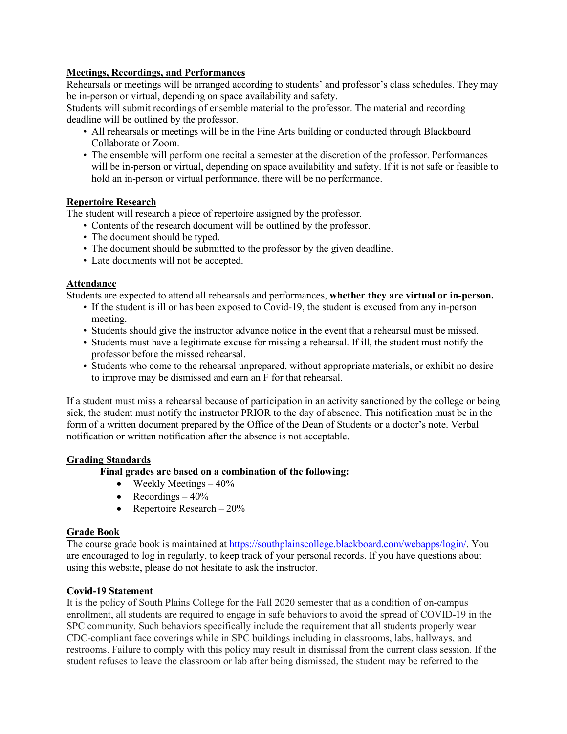# **Meetings, Recordings, and Performances**

Rehearsals or meetings will be arranged according to students' and professor's class schedules. They may be in-person or virtual, depending on space availability and safety.

Students will submit recordings of ensemble material to the professor. The material and recording deadline will be outlined by the professor.

- All rehearsals or meetings will be in the Fine Arts building or conducted through Blackboard Collaborate or Zoom.
- The ensemble will perform one recital a semester at the discretion of the professor. Performances will be in-person or virtual, depending on space availability and safety. If it is not safe or feasible to hold an in-person or virtual performance, there will be no performance.

# **Repertoire Research**

The student will research a piece of repertoire assigned by the professor.

- Contents of the research document will be outlined by the professor.
- The document should be typed.
- The document should be submitted to the professor by the given deadline.
- Late documents will not be accepted.

# **Attendance**

Students are expected to attend all rehearsals and performances, **whether they are virtual or in-person.**

- If the student is ill or has been exposed to Covid-19, the student is excused from any in-person meeting.
- Students should give the instructor advance notice in the event that a rehearsal must be missed.
- Students must have a legitimate excuse for missing a rehearsal. If ill, the student must notify the professor before the missed rehearsal.
- Students who come to the rehearsal unprepared, without appropriate materials, or exhibit no desire to improve may be dismissed and earn an F for that rehearsal.

If a student must miss a rehearsal because of participation in an activity sanctioned by the college or being sick, the student must notify the instructor PRIOR to the day of absence. This notification must be in the form of a written document prepared by the Office of the Dean of Students or a doctor's note. Verbal notification or written notification after the absence is not acceptable.

# **Grading Standards**

**Final grades are based on a combination of the following:**

- Weekly Meetings  $-40\%$
- Recordings  $-40\%$
- Repertoire Research  $20\%$

### **Grade Book**

The course grade book is maintained at https://southplainscollege.blackboard.com/webapps/login/. You are encouraged to log in regularly, to keep track of your personal records. If you have questions about using this website, please do not hesitate to ask the instructor.

# **Covid-19 Statement**

It is the policy of South Plains College for the Fall 2020 semester that as a condition of on-campus enrollment, all students are required to engage in safe behaviors to avoid the spread of COVID-19 in the SPC community. Such behaviors specifically include the requirement that all students properly wear CDC-compliant face coverings while in SPC buildings including in classrooms, labs, hallways, and restrooms. Failure to comply with this policy may result in dismissal from the current class session. If the student refuses to leave the classroom or lab after being dismissed, the student may be referred to the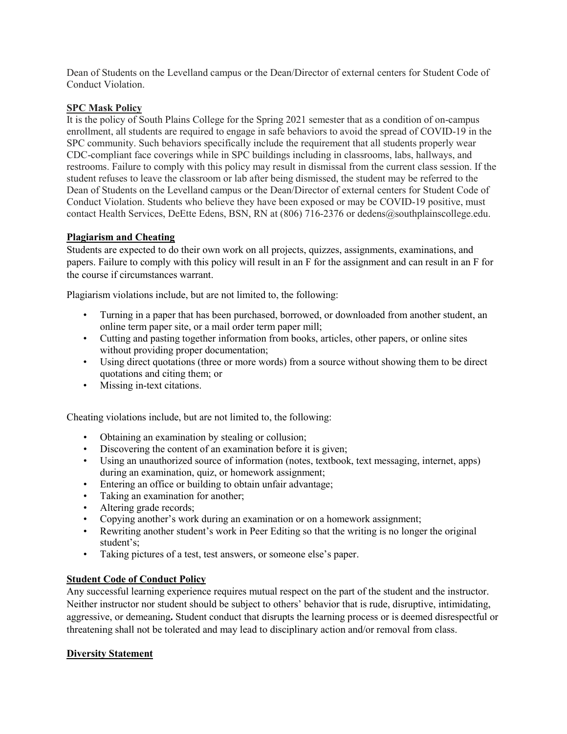Dean of Students on the Levelland campus or the Dean/Director of external centers for Student Code of Conduct Violation.

### **SPC Mask Policy**

It is the policy of South Plains College for the Spring 2021 semester that as a condition of on-campus enrollment, all students are required to engage in safe behaviors to avoid the spread of COVID-19 in the SPC community. Such behaviors specifically include the requirement that all students properly wear CDC-compliant face coverings while in SPC buildings including in classrooms, labs, hallways, and restrooms. Failure to comply with this policy may result in dismissal from the current class session. If the student refuses to leave the classroom or lab after being dismissed, the student may be referred to the Dean of Students on the Levelland campus or the Dean/Director of external centers for Student Code of Conduct Violation. Students who believe they have been exposed or may be COVID-19 positive, must contact Health Services, DeEtte Edens, BSN, RN at (806) 716-2376 or dedens@southplainscollege.edu.

# **Plagiarism and Cheating**

Students are expected to do their own work on all projects, quizzes, assignments, examinations, and papers. Failure to comply with this policy will result in an F for the assignment and can result in an F for the course if circumstances warrant.

Plagiarism violations include, but are not limited to, the following:

- Turning in a paper that has been purchased, borrowed, or downloaded from another student, an online term paper site, or a mail order term paper mill;
- Cutting and pasting together information from books, articles, other papers, or online sites without providing proper documentation;
- Using direct quotations (three or more words) from a source without showing them to be direct quotations and citing them; or
- Missing in-text citations.

Cheating violations include, but are not limited to, the following:

- Obtaining an examination by stealing or collusion;
- Discovering the content of an examination before it is given;
- Using an unauthorized source of information (notes, textbook, text messaging, internet, apps) during an examination, quiz, or homework assignment;
- Entering an office or building to obtain unfair advantage;
- Taking an examination for another;
- Altering grade records;
- Copying another's work during an examination or on a homework assignment;
- Rewriting another student's work in Peer Editing so that the writing is no longer the original student's;
- Taking pictures of a test, test answers, or someone else's paper.

### **Student Code of Conduct Policy**

Any successful learning experience requires mutual respect on the part of the student and the instructor. Neither instructor nor student should be subject to others' behavior that is rude, disruptive, intimidating, aggressive, or demeaning**.** Student conduct that disrupts the learning process or is deemed disrespectful or threatening shall not be tolerated and may lead to disciplinary action and/or removal from class.

#### **Diversity Statement**